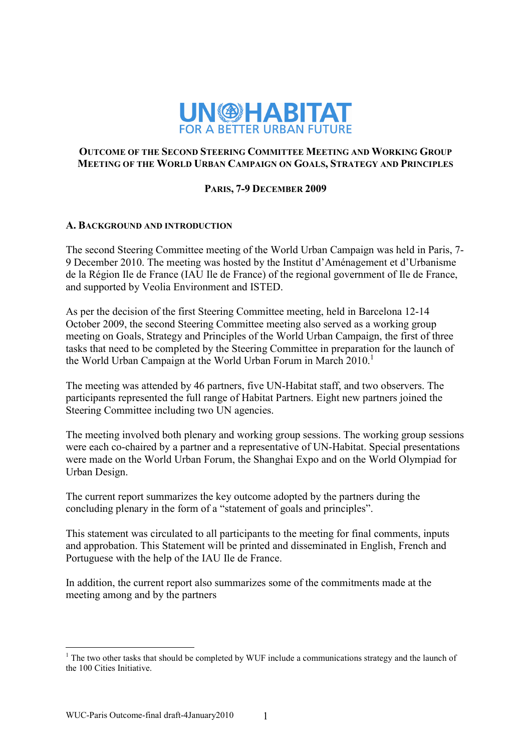

## **OUTCOME OF THE SECOND STEERING COMMITTEE MEETING AND WORKING GROUP MEETING OF THE WORLD URBAN CAMPAIGN ON GOALS, STRATEGY AND PRINCIPLES**

# **PARIS, 7-9 DECEMBER 2009**

# **A. BACKGROUND AND INTRODUCTION**

The second Steering Committee meeting of the World Urban Campaign was held in Paris, 7- 9 December 2010. The meeting was hosted by the Institut d'Aménagement et d'Urbanisme de la Région Ile de France (IAU Ile de France) of the regional government of Ile de France, and supported by Veolia Environment and ISTED.

As per the decision of the first Steering Committee meeting, held in Barcelona 12-14 October 2009, the second Steering Committee meeting also served as a working group meeting on Goals, Strategy and Principles of the World Urban Campaign, the first of three tasks that need to be completed by the Steering Committee in preparation for the launch of the World Urban Campaign at the World Urban Forum in March  $2010<sup>1</sup>$ 

The meeting was attended by 46 partners, five UN-Habitat staff, and two observers. The participants represented the full range of Habitat Partners. Eight new partners joined the Steering Committee including two UN agencies.

The meeting involved both plenary and working group sessions. The working group sessions were each co-chaired by a partner and a representative of UN-Habitat. Special presentations were made on the World Urban Forum, the Shanghai Expo and on the World Olympiad for Urban Design.

The current report summarizes the key outcome adopted by the partners during the concluding plenary in the form of a "statement of goals and principles".

This statement was circulated to all participants to the meeting for final comments, inputs and approbation. This Statement will be printed and disseminated in English, French and Portuguese with the help of the IAU Ile de France.

In addition, the current report also summarizes some of the commitments made at the meeting among and by the partners

 $\overline{a}$ 

 $<sup>1</sup>$  The two other tasks that should be completed by WUF include a communications strategy and the launch of</sup> the 100 Cities Initiative.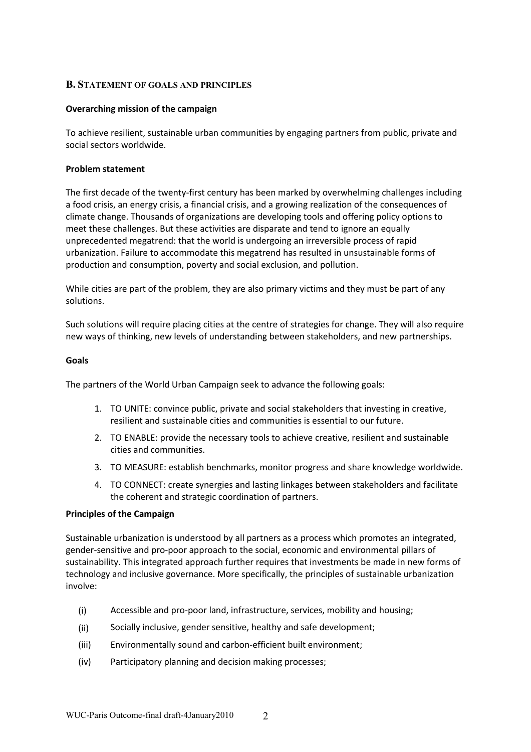### **B. STATEMENT OF GOALS AND PRINCIPLES**

### **Overarching mission of the campaign**

To achieve resilient, sustainable urban communities by engaging partners from public, private and social sectors worldwide.

#### **Problem statement**

The first decade of the twenty-first century has been marked by overwhelming challenges including a food crisis, an energy crisis, a financial crisis, and a growing realization of the consequences of climate change. Thousands of organizations are developing tools and offering policy options to meet these challenges. But these activities are disparate and tend to ignore an equally unprecedented megatrend: that the world is undergoing an irreversible process of rapid urbanization. Failure to accommodate this megatrend has resulted in unsustainable forms of production and consumption, poverty and social exclusion, and pollution.

While cities are part of the problem, they are also primary victims and they must be part of any solutions.

Such solutions will require placing cities at the centre of strategies for change. They will also require new ways of thinking, new levels of understanding between stakeholders, and new partnerships.

#### **Goals**

The partners of the World Urban Campaign seek to advance the following goals:

- 1. TO UNITE: convince public, private and social stakeholders that investing in creative, resilient and sustainable cities and communities is essential to our future.
- 2. TO ENABLE: provide the necessary tools to achieve creative, resilient and sustainable cities and communities.
- 3. TO MEASURE: establish benchmarks, monitor progress and share knowledge worldwide.
- 4. TO CONNECT: create synergies and lasting linkages between stakeholders and facilitate the coherent and strategic coordination of partners.

### **Principles of the Campaign**

Sustainable urbanization is understood by all partners as a process which promotes an integrated, gender-sensitive and pro-poor approach to the social, economic and environmental pillars of sustainability. This integrated approach further requires that investments be made in new forms of technology and inclusive governance. More specifically, the principles of sustainable urbanization involve:

- (i) Accessible and pro-poor land, infrastructure, services, mobility and housing;
- (ii) Socially inclusive, gender sensitive, healthy and safe development;
- (iii) Environmentally sound and carbon-efficient built environment;
- (iv) Participatory planning and decision making processes;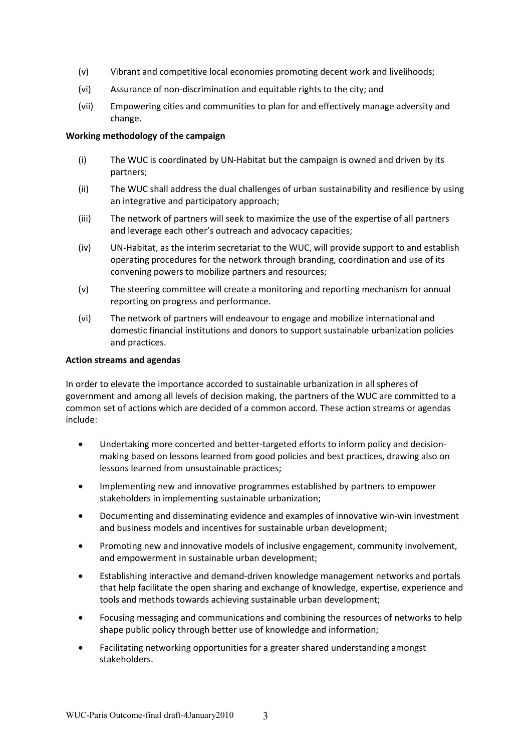- (v) Vibrant and competitive local economies promoting decent work and livelihoods;
- (vi) Assurance of non-discrimination and equitable rights to the city; and
- (vii) Empowering cities and communities to plan for and effectively manage adversity and change.

### **Working methodology of the campaign**

- (i) The WUC is coordinated by UN-Habitat but the campaign is owned and driven by its partners;
- (ii) The WUC shall address the dual challenges of urban sustainability and resilience by using an integrative and participatory approach;
- (iii) The network of partners will seek to maximize the use of the expertise of all partners and leverage each other's outreach and advocacy capacities;
- (iv) UN-Habitat, as the interim secretariat to the WUC, will provide support to and establish operating procedures for the network through branding, coordination and use of its convening powers to mobilize partners and resources;
- (v) The steering committee will create a monitoring and reporting mechanism for annual reporting on progress and performance.
- (vi) The network of partners will endeavour to engage and mobilize international and domestic financial institutions and donors to support sustainable urbanization policies and practices.

#### **Action streams and agendas**

In order to elevate the importance accorded to sustainable urbanization in all spheres of government and among all levels of decision making, the partners of the WUC are committed to a common set of actions which are decided of a common accord. These action streams or agendas include:

- Undertaking more concerted and better-targeted efforts to inform policy and decisionmaking based on lessons learned from good policies and best practices, drawing also on lessons learned from unsustainable practices;
- Implementing new and innovative programmes established by partners to empower stakeholders in implementing sustainable urbanization;
- Documenting and disseminating evidence and examples of innovative win-win investment and business models and incentives for sustainable urban development;
- Promoting new and innovative models of inclusive engagement, community involvement, and empowerment in sustainable urban development;
- Establishing interactive and demand-driven knowledge management networks and portals that help facilitate the open sharing and exchange of knowledge, expertise, experience and tools and methods towards achieving sustainable urban development;
- Focusing messaging and communications and combining the resources of networks to help shape public policy through better use of knowledge and information;
- Facilitating networking opportunities for a greater shared understanding amongst stakeholders.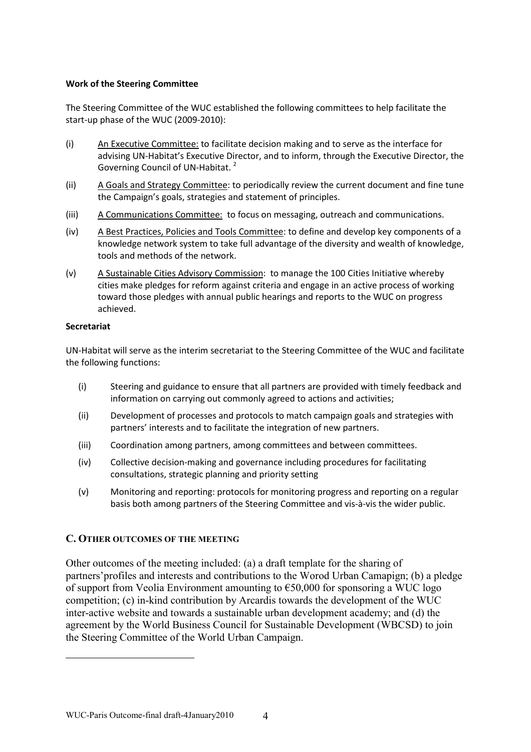### **Work of the Steering Committee**

The Steering Committee of the WUC established the following committees to help facilitate the start-up phase of the WUC (2009-2010):

- (i) An Executive Committee: to facilitate decision making and to serve as the interface for advising UN-Habitat's Executive Director, and to inform, through the Executive Director, the Governing Council of UN-Habitat. 2
- (ii) A Goals and Strategy Committee: to periodically review the current document and fine tune the Campaign's goals, strategies and statement of principles.
- (iii) A Communications Committee: to focus on messaging, outreach and communications.
- (iv) A Best Practices, Policies and Tools Committee: to define and develop key components of a knowledge network system to take full advantage of the diversity and wealth of knowledge, tools and methods of the network.
- (v) A Sustainable Cities Advisory Commission: to manage the 100 Cities Initiative whereby cities make pledges for reform against criteria and engage in an active process of working toward those pledges with annual public hearings and reports to the WUC on progress achieved.

### **Secretariat**

 $\overline{a}$ 

UN-Habitat will serve as the interim secretariat to the Steering Committee of the WUC and facilitate the following functions:

- (i) Steering and guidance to ensure that all partners are provided with timely feedback and information on carrying out commonly agreed to actions and activities;
- (ii) Development of processes and protocols to match campaign goals and strategies with partners' interests and to facilitate the integration of new partners.
- (iii) Coordination among partners, among committees and between committees.
- (iv) Collective decision-making and governance including procedures for facilitating consultations, strategic planning and priority setting
- (v) Monitoring and reporting: protocols for monitoring progress and reporting on a regular basis both among partners of the Steering Committee and vis-à-vis the wider public.

## **C. OTHER OUTCOMES OF THE MEETING**

Other outcomes of the meeting included: (a) a draft template for the sharing of partners'profiles and interests and contributions to the Worod Urban Camapign; (b) a pledge of support from Veolia Environment amounting to €50,000 for sponsoring a WUC logo competition; (c) in-kind contribution by Arcardis towards the development of the WUC inter-active website and towards a sustainable urban development academy; and (d) the agreement by the World Business Council for Sustainable Development (WBCSD) to join the Steering Committee of the World Urban Campaign.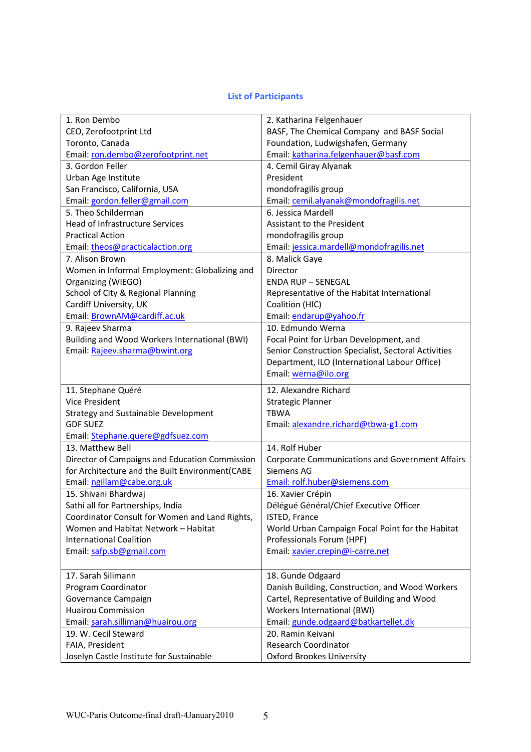# **List of Participants**

| 1. Ron Dembo                                                | 2. Katharina Felgenhauer                                        |
|-------------------------------------------------------------|-----------------------------------------------------------------|
| CEO, Zerofootprint Ltd                                      | BASF, The Chemical Company and BASF Social                      |
| Toronto, Canada                                             | Foundation, Ludwigshafen, Germany                               |
| Email: ron.dembo@zerofootprint.net                          | Email: katharina.felgenhauer@basf.com                           |
| 3. Gordon Feller                                            | 4. Cemil Giray Alyanak                                          |
| Urban Age Institute                                         | President                                                       |
| San Francisco, California, USA                              | mondofragilis group                                             |
| Email: gordon.feller@gmail.com                              | Email: cemil.alyanak@mondofragilis.net                          |
| 5. Theo Schilderman                                         | 6. Jessica Mardell                                              |
| <b>Head of Infrastructure Services</b>                      | Assistant to the President                                      |
| <b>Practical Action</b>                                     | mondofragilis group                                             |
| Email: theos@practicalaction.org                            | Email: jessica.mardell@mondofragilis.net                        |
| 7. Alison Brown                                             | 8. Malick Gaye                                                  |
| Women in Informal Employment: Globalizing and               | Director                                                        |
| Organizing (WIEGO)                                          | <b>ENDA RUP - SENEGAL</b>                                       |
| School of City & Regional Planning                          | Representative of the Habitat International                     |
| Cardiff University, UK                                      | Coalition (HIC)                                                 |
| Email: BrownAM@cardiff.ac.uk                                | Email: endarup@yahoo.fr                                         |
| 9. Rajeev Sharma                                            | 10. Edmundo Werna                                               |
| Building and Wood Workers International (BWI)               | Focal Point for Urban Development, and                          |
| Email: Rajeev.sharma@bwint.org                              | Senior Construction Specialist, Sectoral Activities             |
|                                                             | Department, ILO (International Labour Office)                   |
|                                                             | Email: werna@ilo.org                                            |
|                                                             | 12. Alexandre Richard                                           |
|                                                             |                                                                 |
| 11. Stephane Quéré                                          |                                                                 |
| <b>Vice President</b>                                       | <b>Strategic Planner</b>                                        |
| <b>Strategy and Sustainable Development</b>                 | <b>TBWA</b>                                                     |
| <b>GDF SUEZ</b>                                             | Email: alexandre.richard@tbwa-g1.com                            |
| Email: Stephane.quere@gdfsuez.com                           |                                                                 |
| 13. Matthew Bell                                            | 14. Rolf Huber                                                  |
| Director of Campaigns and Education Commission              | <b>Corporate Communications and Government Affairs</b>          |
| for Architecture and the Built Environment(CABE             | <b>Siemens AG</b>                                               |
| Email: ngillam@cabe.org.uk                                  | Email: rolf.huber@siemens.com                                   |
| 15. Shivani Bhardwaj                                        | 16. Xavier Crépin                                               |
| Sathi all for Partnerships, India                           | Délégué Général/Chief Executive Officer                         |
| Coordinator Consult for Women and Land Rights,              | ISTED, France                                                   |
| Women and Habitat Network - Habitat                         | World Urban Campaign Focal Point for the Habitat                |
| <b>International Coalition</b>                              | Professionals Forum (HPF)                                       |
| Email: safp.sb@gmail.com                                    | Email: xavier.crepin@i-carre.net                                |
|                                                             |                                                                 |
| 17. Sarah Silimann                                          | 18. Gunde Odgaard                                               |
| Program Coordinator                                         | Danish Building, Construction, and Wood Workers                 |
| Governance Campaign                                         | Cartel, Representative of Building and Wood                     |
| <b>Huairou Commission</b>                                   | Workers International (BWI)                                     |
| Email: sarah.silliman@huairou.org                           | Email: gunde.odgaard@batkartellet.dk                            |
| 19. W. Cecil Steward                                        | 20. Ramin Keivani                                               |
| FAIA, President<br>Joselyn Castle Institute for Sustainable | <b>Research Coordinator</b><br><b>Oxford Brookes University</b> |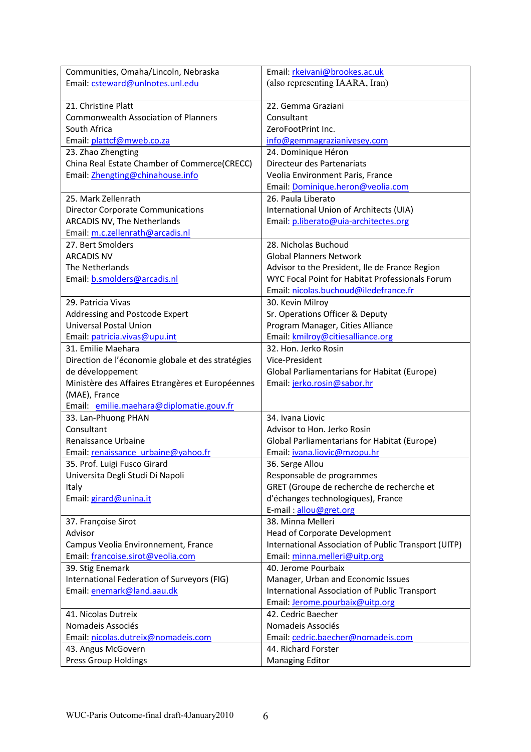| Communities, Omaha/Lincoln, Nebraska              | Email: rkeivani@brookes.ac.uk                        |
|---------------------------------------------------|------------------------------------------------------|
| Email: csteward@unlnotes.unl.edu                  | (also representing IAARA, Iran)                      |
|                                                   |                                                      |
| 21. Christine Platt                               | 22. Gemma Graziani                                   |
| <b>Commonwealth Association of Planners</b>       | Consultant                                           |
| South Africa                                      | ZeroFootPrint Inc.                                   |
| Email: plattcf@mweb.co.za                         | info@gemmagrazianivesey.com                          |
| 23. Zhao Zhengting                                | 24. Dominique Héron                                  |
| China Real Estate Chamber of Commerce(CRECC)      | Directeur des Partenariats                           |
| Email: Zhengting@chinahouse.info                  | Veolia Environment Paris, France                     |
|                                                   | Email: Dominique.heron@veolia.com                    |
| 25. Mark Zellenrath                               | 26. Paula Liberato                                   |
| <b>Director Corporate Communications</b>          | International Union of Architects (UIA)              |
| ARCADIS NV, The Netherlands                       | Email: p.liberato@uia-architectes.org                |
| Email: m.c.zellenrath@arcadis.nl                  |                                                      |
| 27. Bert Smolders                                 | 28. Nicholas Buchoud                                 |
| <b>ARCADIS NV</b>                                 | <b>Global Planners Network</b>                       |
| The Netherlands                                   | Advisor to the President, Ile de France Region       |
| Email: b.smolders@arcadis.nl                      | WYC Focal Point for Habitat Professionals Forum      |
|                                                   | Email: nicolas.buchoud@iledefrance.fr                |
| 29. Patricia Vivas                                | 30. Kevin Milroy                                     |
| Addressing and Postcode Expert                    | Sr. Operations Officer & Deputy                      |
| <b>Universal Postal Union</b>                     | Program Manager, Cities Alliance                     |
| Email: patricia.vivas@upu.int                     | Email: kmilroy@citiesalliance.org                    |
| 31. Emilie Maehara                                | 32. Hon. Jerko Rosin                                 |
| Direction de l'économie globale et des stratégies | Vice-President                                       |
| de développement                                  | <b>Global Parliamentarians for Habitat (Europe)</b>  |
| Ministère des Affaires Etrangères et Européennes  | Email: jerko.rosin@sabor.hr                          |
| (MAE), France                                     |                                                      |
| Email: emilie.maehara@diplomatie.gouv.fr          |                                                      |
| 33. Lan-Phuong PHAN                               | 34. Ivana Liovic                                     |
| Consultant                                        | Advisor to Hon. Jerko Rosin                          |
| Renaissance Urbaine                               | <b>Global Parliamentarians for Habitat (Europe)</b>  |
| Email: renaissance urbaine@yahoo.fr               | Email: ivana.liovic@mzopu.hr                         |
| 35. Prof. Luigi Fusco Girard                      | 36. Serge Allou                                      |
| Universita Degli Studi Di Napoli                  | Responsable de programmes                            |
| Italy                                             | GRET (Groupe de recherche de recherche et            |
| Email: girard@unina.it                            | d'échanges technologiques), France                   |
|                                                   | E-mail: allou@gret.org                               |
| 37. Françoise Sirot                               | 38. Minna Melleri                                    |
| Advisor                                           | Head of Corporate Development                        |
| Campus Veolia Environnement, France               | International Association of Public Transport (UITP) |
| Email: francoise.sirot@veolia.com                 | Email: minna.melleri@uitp.org                        |
| 39. Stig Enemark                                  | 40. Jerome Pourbaix                                  |
| International Federation of Surveyors (FIG)       | Manager, Urban and Economic Issues                   |
| Email: enemark@land.aau.dk                        | International Association of Public Transport        |
|                                                   | Email: Jerome.pourbaix@uitp.org                      |
| 41. Nicolas Dutreix                               | 42. Cedric Baecher                                   |
| Nomadeis Associés                                 | Nomadeis Associés                                    |
| Email: nicolas.dutreix@nomadeis.com               | Email: cedric.baecher@nomadeis.com                   |
| 43. Angus McGovern                                | 44. Richard Forster                                  |
| Press Group Holdings                              | <b>Managing Editor</b>                               |